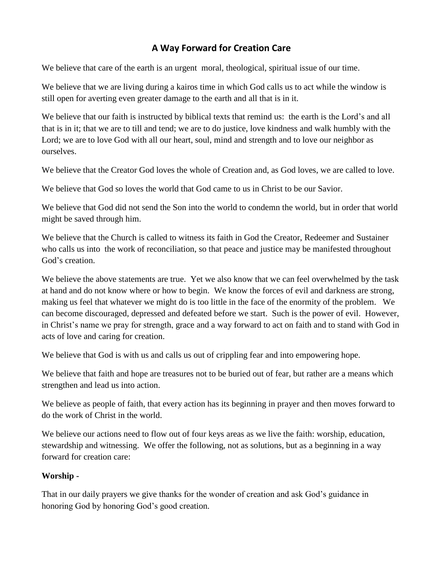# **A Way Forward for Creation Care**

We believe that care of the earth is an urgent moral, theological, spiritual issue of our time.

We believe that we are living during a kairos time in which God calls us to act while the window is still open for averting even greater damage to the earth and all that is in it.

We believe that our faith is instructed by biblical texts that remind us: the earth is the Lord's and all that is in it; that we are to till and tend; we are to do justice, love kindness and walk humbly with the Lord; we are to love God with all our heart, soul, mind and strength and to love our neighbor as ourselves.

We believe that the Creator God loves the whole of Creation and, as God loves, we are called to love.

We believe that God so loves the world that God came to us in Christ to be our Savior.

We believe that God did not send the Son into the world to condemn the world, but in order that world might be saved through him.

We believe that the Church is called to witness its faith in God the Creator, Redeemer and Sustainer who calls us into the work of reconciliation, so that peace and justice may be manifested throughout God's creation.

We believe the above statements are true. Yet we also know that we can feel overwhelmed by the task at hand and do not know where or how to begin. We know the forces of evil and darkness are strong, making us feel that whatever we might do is too little in the face of the enormity of the problem. We can become discouraged, depressed and defeated before we start. Such is the power of evil. However, in Christ's name we pray for strength, grace and a way forward to act on faith and to stand with God in acts of love and caring for creation.

We believe that God is with us and calls us out of crippling fear and into empowering hope.

We believe that faith and hope are treasures not to be buried out of fear, but rather are a means which strengthen and lead us into action.

We believe as people of faith, that every action has its beginning in prayer and then moves forward to do the work of Christ in the world.

We believe our actions need to flow out of four keys areas as we live the faith: worship, education, stewardship and witnessing. We offer the following, not as solutions, but as a beginning in a way forward for creation care:

### **Worship -**

That in our daily prayers we give thanks for the wonder of creation and ask God's guidance in honoring God by honoring God's good creation.